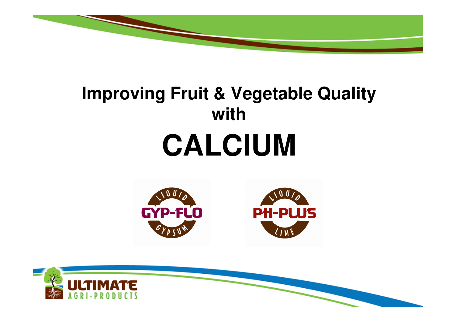

# **Improving Fruit & Vegetable Quality withCALCIUM**



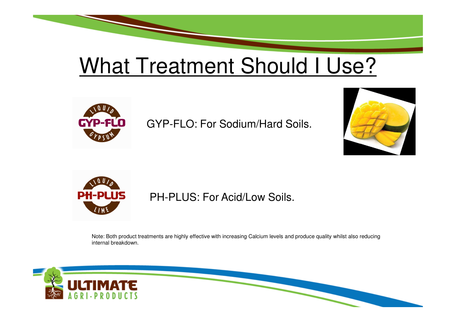## What Treatment Should I Use?



GYP-FLO: For Sodium/Hard Soils.





#### PH-PLUS: For Acid/Low Soils.

Note: Both product treatments are highly effective with increasing Calcium levels and produce quality whilst also reducing internal breakdown.

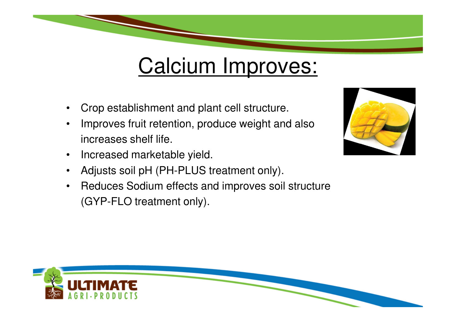### Calcium Improves:

- •Crop establishment and plant cell structure.
- • Improves fruit retention, produce weight and also increases shelf life.
- •Increased marketable yield.
- •Adjusts soil pH (PH-PLUS treatment only).
- • Reduces Sodium effects and improves soil structure(GYP-FLO treatment only).



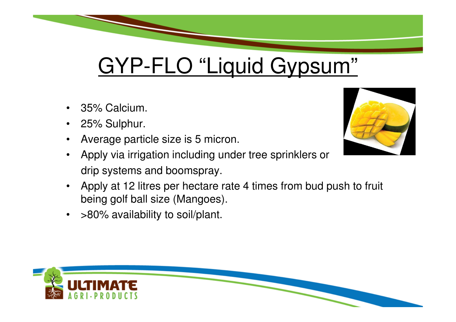## GYP-FLO "Liquid Gypsum"

- •35% Calcium.
- $\bullet$ 25% Sulphur.
- •Average particle size is 5 micron.
- Apply via irrigation including under tree sprinklers or drip systems and boomspray.
- • Apply at 12 litres per hectare rate 4 times from bud push to fruit being golf ball size (Mangoes).
- •>80% availability to soil/plant.



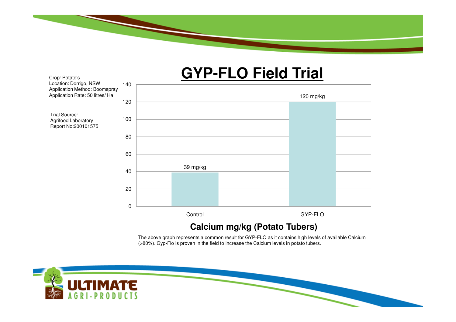

140

Crop: Potato's

Trial Source: Agrifood Laboratory

Location: Dorrigo, NSW

### **GYP-FLO Field Trial**

120 mg/kg6080100120 Application Method: BoomsprayApplication Rate: 50 litres/ HaReport No:20010157539 mg/kg02040**Control**  GYP-FLO**Calcium mg/kg (Potato Tubers)**

> The above graph represents a common result for GYP-FLO as it contains high levels of available Calcium (>80%). Gyp-Flo is proven in the field to increase the Calcium levels in potato tubers.

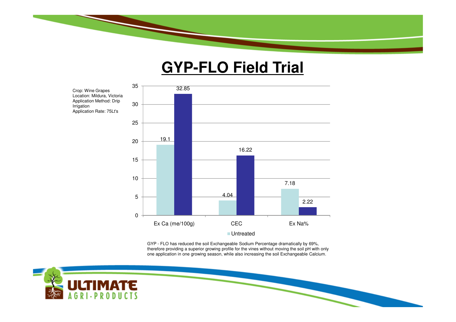

#### **GYP-FLO Field Trial**



GYP - FLO has reduced the soil Exchangeable Sodium Percentage dramatically by 69%, therefore providing a superior growing profile for the vines without moving the soil pH with only one application in one growing season, while also increasing the soil Exchangeable Calcium.

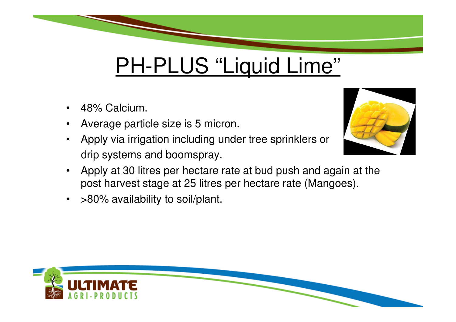

## PH-PLUS "Liquid Lime"

- •48% Calcium.
- •Average particle size is 5 micron.
- • Apply via irrigation including under tree sprinklers or drip systems and boomspray.



- Apply at 30 litres per hectare rate at bud push and again at the post harvest stage at 25 litres per hectare rate (Mangoes).
- •>80% availability to soil/plant.

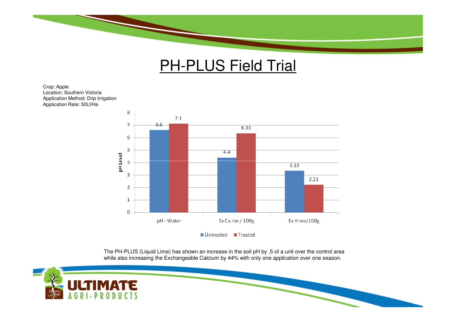

#### **PH-PLUS Field Trial**

Crop: Apple Location: Southern Victoria Application Method: Drip IrrigationApplication Rate: 50Lt/Ha



The PH-PLUS (Liquid Lime) has shown an increase in the soil pH by .5 of a unit over the control area while also increasing the Exchangeable Calcium by 44% with only one application over one season.

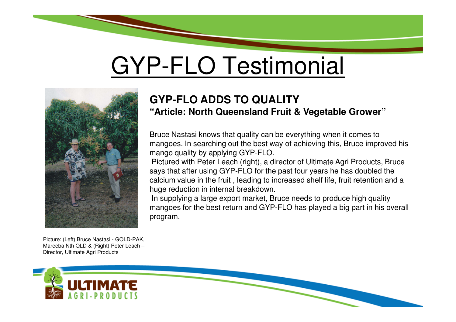# GYP-FLO Testimonial



Picture: (Left) Bruce Nastasi - GOLD-PAK, Mareeba Nth QLD & (Right) Peter Leach –Director, Ultimate Agri Products

#### **GYP-FLO ADDS TO QUALITY"Article: North Queensland Fruit & Vegetable Grower"**

Bruce Nastasi knows that quality can be everything when it comes to mangoes. In searching out the best way of achieving this, Bruce improved his mango quality by applying GYP-FLO.

Pictured with Peter Leach (right), a director of Ultimate Agri Products, Bruce says that after using GYP-FLO for the past four years he has doubled the calcium value in the fruit , leading to increased shelf life, fruit retention and a huge reduction in internal breakdown.

 In supplying a large export market, Bruce needs to produce high quality mangoes for the best return and GYP-FLO has played a big part in his overall program.

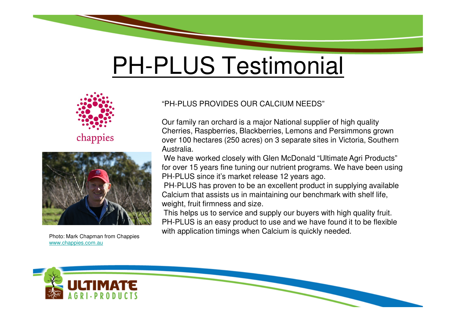# PH-PLUS Testimonial





Photo: Mark Chapman from Chappieswww.chappies.com.au

#### "PH-PLUS PROVIDES OUR CALCIUM NEEDS"

Our family ran orchard is a major National supplier of high quality Cherries, Raspberries, Blackberries, Lemons and Persimmons grown over 100 hectares (250 acres) on 3 separate sites in Victoria, Southern Australia.

We have worked closely with Glen McDonald "Ultimate Agri Products" for over 15 years fine tuning our nutrient programs. We have been using PH-PLUS since it's market release 12 years ago.

 PH-PLUS has proven to be an excellent product in supplying available Calcium that assists us in maintaining our benchmark with shelf life, weight, fruit firmness and size.

 This helps us to service and supply our buyers with high quality fruit. PH-PLUS is an easy product to use and we have found it to be flexible with application timings when Calcium is quickly needed.